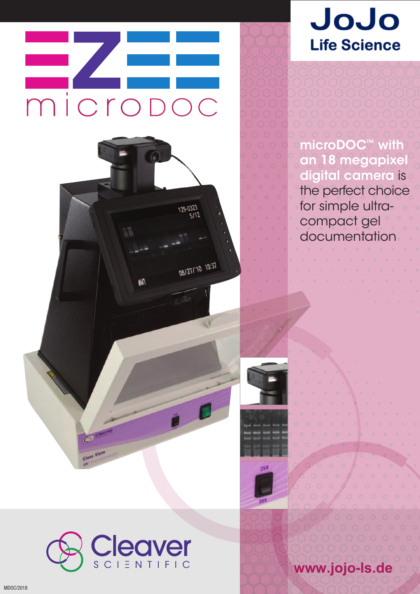# m i c ro D O C



# JoJo **Life Science**

**microDOC™ with an 18 megapixel digital camera** is the perfect choice for simple ultracompact gel documentation

**www.jojo-ls.de**



MDOC/2018